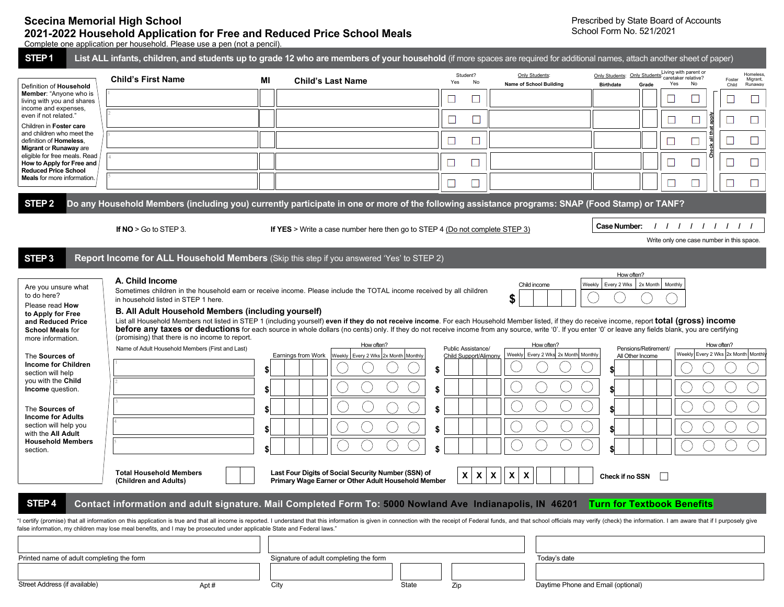## **Scecina Memorial High School 2021-2022 Household Application for Free and Reduced Price School Meals**

Prescribed by State Board of Accounts School Form No. 521/2021

Complete one application per household. Please use a pen (not a pencil).

| STEP <sub>1</sub>                                                                                                                                                                                                                                                                                                                                                            | List ALL infants, children, and students up to grade 12 who are members of your household (if more spaces are required for additional names, attach another sheet of paper)                                                                                                                                                                                                                                                                                                                                                                                                                                                                                                                                                                |                            |                                                                                                            |                            |                                             |                                                            |                                                            |                                                           |                 |                                  |
|------------------------------------------------------------------------------------------------------------------------------------------------------------------------------------------------------------------------------------------------------------------------------------------------------------------------------------------------------------------------------|--------------------------------------------------------------------------------------------------------------------------------------------------------------------------------------------------------------------------------------------------------------------------------------------------------------------------------------------------------------------------------------------------------------------------------------------------------------------------------------------------------------------------------------------------------------------------------------------------------------------------------------------------------------------------------------------------------------------------------------------|----------------------------|------------------------------------------------------------------------------------------------------------|----------------------------|---------------------------------------------|------------------------------------------------------------|------------------------------------------------------------|-----------------------------------------------------------|-----------------|----------------------------------|
| Definition of Household                                                                                                                                                                                                                                                                                                                                                      | <b>Child's First Name</b>                                                                                                                                                                                                                                                                                                                                                                                                                                                                                                                                                                                                                                                                                                                  | МI                         | <b>Child's Last Name</b>                                                                                   | Yes                        | Student?<br>No                              | Only Students:<br>Name of School Building                  | Only Students: Only Students:<br><b>Birthdate</b><br>Grade | Living with parent or<br>caretaker relative?<br>No<br>Yes | Foster<br>Child | Homeless,<br>Migrant,<br>Runaway |
| Member: "Anyone who is<br>living with you and shares<br>income and expenses,<br>even if not related."<br>Children in Foster care<br>and children who meet the<br>definition of <b>Homeless</b> .<br>Migrant or Runaway are<br>eligible for free meals. Read<br>How to Apply for Free and<br><b>Reduced Price School</b><br><b>Meals</b> for more information                 |                                                                                                                                                                                                                                                                                                                                                                                                                                                                                                                                                                                                                                                                                                                                            |                            |                                                                                                            |                            |                                             |                                                            |                                                            |                                                           |                 |                                  |
|                                                                                                                                                                                                                                                                                                                                                                              |                                                                                                                                                                                                                                                                                                                                                                                                                                                                                                                                                                                                                                                                                                                                            |                            |                                                                                                            |                            | $\Box$                                      |                                                            |                                                            | appi)<br>$\Box$<br>⊔                                      |                 |                                  |
|                                                                                                                                                                                                                                                                                                                                                                              |                                                                                                                                                                                                                                                                                                                                                                                                                                                                                                                                                                                                                                                                                                                                            |                            |                                                                                                            | ⊔                          | $\Box$                                      |                                                            |                                                            | Check all th<br>$\sqcup$                                  |                 |                                  |
|                                                                                                                                                                                                                                                                                                                                                                              |                                                                                                                                                                                                                                                                                                                                                                                                                                                                                                                                                                                                                                                                                                                                            |                            |                                                                                                            | $\Box$                     |                                             |                                                            |                                                            | $\Box$                                                    |                 |                                  |
|                                                                                                                                                                                                                                                                                                                                                                              |                                                                                                                                                                                                                                                                                                                                                                                                                                                                                                                                                                                                                                                                                                                                            |                            |                                                                                                            |                            | $\Box$                                      |                                                            |                                                            | $\Box$                                                    |                 |                                  |
| STEP <sub>2</sub>                                                                                                                                                                                                                                                                                                                                                            | Do any Household Members (including you) currently participate in one or more of the following assistance programs: SNAP (Food Stamp) or TANF?                                                                                                                                                                                                                                                                                                                                                                                                                                                                                                                                                                                             |                            |                                                                                                            |                            |                                             |                                                            |                                                            |                                                           |                 |                                  |
|                                                                                                                                                                                                                                                                                                                                                                              | If $NO > Go$ to STEP 3.                                                                                                                                                                                                                                                                                                                                                                                                                                                                                                                                                                                                                                                                                                                    |                            | <b>If YES</b> > Write a case number here then go to STEP 4 (Do not complete STEP 3)                        |                            |                                             |                                                            | Case Number:                                               | 1111111                                                   |                 |                                  |
|                                                                                                                                                                                                                                                                                                                                                                              |                                                                                                                                                                                                                                                                                                                                                                                                                                                                                                                                                                                                                                                                                                                                            |                            |                                                                                                            |                            |                                             |                                                            |                                                            | Write only one case number in this space.                 |                 |                                  |
| STEP <sub>3</sub>                                                                                                                                                                                                                                                                                                                                                            | Report Income for ALL Household Members (Skip this step if you answered 'Yes' to STEP 2)                                                                                                                                                                                                                                                                                                                                                                                                                                                                                                                                                                                                                                                   |                            |                                                                                                            |                            |                                             |                                                            |                                                            |                                                           |                 |                                  |
| to do here?<br>Please read How<br>to Apply for Free<br>and Reduced Price<br><b>School Meals for</b><br>more information.<br>The Sources of<br><b>Income for Children</b><br>section will help<br>you with the Child<br>Income question.<br>The Sources of<br><b>Income for Adults</b><br>section will help you<br>with the All Adult<br><b>Household Members</b><br>section. | Sometimes children in the household earn or receive income. Please include the TOTAL income received by all children<br>in household listed in STEP 1 here.<br>B. All Adult Household Members (including yourself)<br>List all Household Members not listed in STEP 1 (including yourself) even if they do not receive income. For each Household Member listed, if they do receive income, report total (gross) income<br>before any taxes or deductions for each source in whole dollars (no cents) only. If they do not receive income from any source, write '0'. If you enter '0' or leave any fields blank, you are certifying<br>(promising) that there is no income to report.<br>Name of Adult Household Members (First and Last) | \$<br>\$<br>\$<br>\$<br>\$ | How often?<br>Earnings from Work<br>Weekly   Every 2 Wks 2x Month   Monthly                                | \$<br>\$<br>\$<br>\$<br>\$ | Public Assistance/<br>Child Support/Alimony | \$<br>How often?<br>Every 2 Wks 2x Month Monthly<br>Weekly | Pensions/Retirement/<br>All Other Income                   | Weekly Every 2 Wks 2x Month Monthl                        | How often?      |                                  |
| STEP <sub>4</sub>                                                                                                                                                                                                                                                                                                                                                            | <b>Total Household Members</b><br>(Children and Adults)<br>Contact information and adult signature. Mail Completed Form To: 5000 Nowland Ave Indianapolis, IN 46201 Turn for Textbook Benefits<br>"I certify (promise) that all information on this application is true and that all income is reported. I understand that this information is given in connection with the receipt of Federal funds, and that school officials<br>false information, my children may lose meal benefits, and I may be prosecuted under applicable State and Federal laws.'                                                                                                                                                                                |                            | Last Four Digits of Social Security Number (SSN) of<br>Primary Wage Earner or Other Adult Household Member |                            | $\boldsymbol{\mathsf{X}}$<br>X.             | X<br>$\boldsymbol{\mathsf{X}}$<br>X                        | Check if no SSN                                            |                                                           |                 |                                  |
| Printed name of adult completing the form<br>Street Address (if available)                                                                                                                                                                                                                                                                                                   |                                                                                                                                                                                                                                                                                                                                                                                                                                                                                                                                                                                                                                                                                                                                            |                            | Signature of adult completing the form                                                                     | State                      |                                             | Today's date<br>Daytime Phone and Email (optional)         |                                                            |                                                           |                 |                                  |
|                                                                                                                                                                                                                                                                                                                                                                              | Apt#                                                                                                                                                                                                                                                                                                                                                                                                                                                                                                                                                                                                                                                                                                                                       |                            | City                                                                                                       | Zip                        |                                             |                                                            |                                                            |                                                           |                 |                                  |